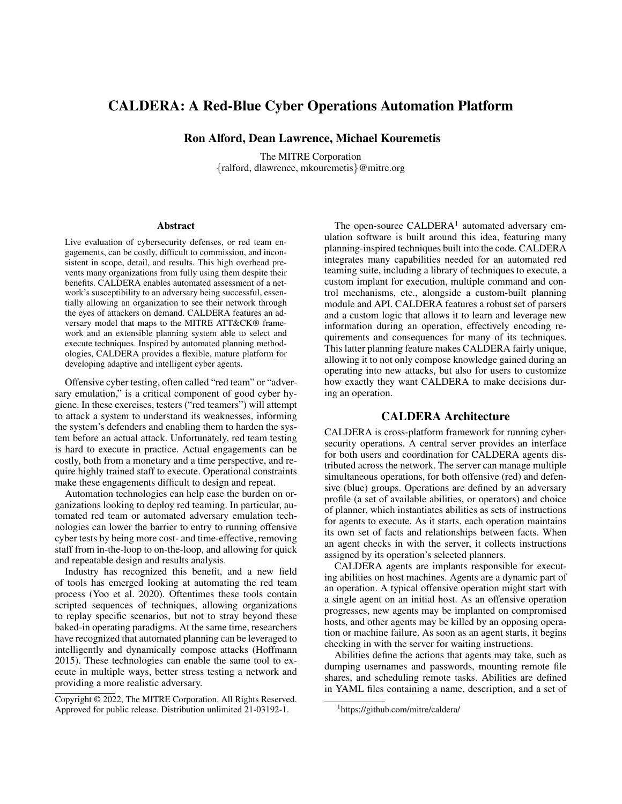# CALDERA: A Red-Blue Cyber Operations Automation Platform

Ron Alford, Dean Lawrence, Michael Kouremetis

The MITRE Corporation {ralford, dlawrence, mkouremetis}@mitre.org

#### **Abstract**

Live evaluation of cybersecurity defenses, or red team engagements, can be costly, difficult to commission, and inconsistent in scope, detail, and results. This high overhead prevents many organizations from fully using them despite their benefits. CALDERA enables automated assessment of a network's susceptibility to an adversary being successful, essentially allowing an organization to see their network through the eyes of attackers on demand. CALDERA features an adversary model that maps to the MITRE ATT&CK® framework and an extensible planning system able to select and execute techniques. Inspired by automated planning methodologies, CALDERA provides a flexible, mature platform for developing adaptive and intelligent cyber agents.

Offensive cyber testing, often called "red team" or "adversary emulation," is a critical component of good cyber hygiene. In these exercises, testers ("red teamers") will attempt to attack a system to understand its weaknesses, informing the system's defenders and enabling them to harden the system before an actual attack. Unfortunately, red team testing is hard to execute in practice. Actual engagements can be costly, both from a monetary and a time perspective, and require highly trained staff to execute. Operational constraints make these engagements difficult to design and repeat.

Automation technologies can help ease the burden on organizations looking to deploy red teaming. In particular, automated red team or automated adversary emulation technologies can lower the barrier to entry to running offensive cyber tests by being more cost- and time-effective, removing staff from in-the-loop to on-the-loop, and allowing for quick and repeatable design and results analysis.

Industry has recognized this benefit, and a new field of tools has emerged looking at automating the red team process (Yoo et al. 2020). Oftentimes these tools contain scripted sequences of techniques, allowing organizations to replay specific scenarios, but not to stray beyond these baked-in operating paradigms. At the same time, researchers have recognized that automated planning can be leveraged to intelligently and dynamically compose attacks (Hoffmann 2015). These technologies can enable the same tool to execute in multiple ways, better stress testing a network and providing a more realistic adversary.

The open-source  $CALDERA<sup>1</sup>$  automated adversary emulation software is built around this idea, featuring many planning-inspired techniques built into the code. CALDERA integrates many capabilities needed for an automated red teaming suite, including a library of techniques to execute, a custom implant for execution, multiple command and control mechanisms, etc., alongside a custom-built planning module and API. CALDERA features a robust set of parsers and a custom logic that allows it to learn and leverage new information during an operation, effectively encoding requirements and consequences for many of its techniques. This latter planning feature makes CALDERA fairly unique, allowing it to not only compose knowledge gained during an operating into new attacks, but also for users to customize how exactly they want CALDERA to make decisions during an operation.

### CALDERA Architecture

CALDERA is cross-platform framework for running cybersecurity operations. A central server provides an interface for both users and coordination for CALDERA agents distributed across the network. The server can manage multiple simultaneous operations, for both offensive (red) and defensive (blue) groups. Operations are defined by an adversary profile (a set of available abilities, or operators) and choice of planner, which instantiates abilities as sets of instructions for agents to execute. As it starts, each operation maintains its own set of facts and relationships between facts. When an agent checks in with the server, it collects instructions assigned by its operation's selected planners.

CALDERA agents are implants responsible for executing abilities on host machines. Agents are a dynamic part of an operation. A typical offensive operation might start with a single agent on an initial host. As an offensive operation progresses, new agents may be implanted on compromised hosts, and other agents may be killed by an opposing operation or machine failure. As soon as an agent starts, it begins checking in with the server for waiting instructions.

Abilities define the actions that agents may take, such as dumping usernames and passwords, mounting remote file shares, and scheduling remote tasks. Abilities are defined in YAML files containing a name, description, and a set of

Copyright © 2022, The MITRE Corporation. All Rights Reserved. Approved for public release. Distribution unlimited 21-03192-1.

<sup>1</sup> https://github.com/mitre/caldera/